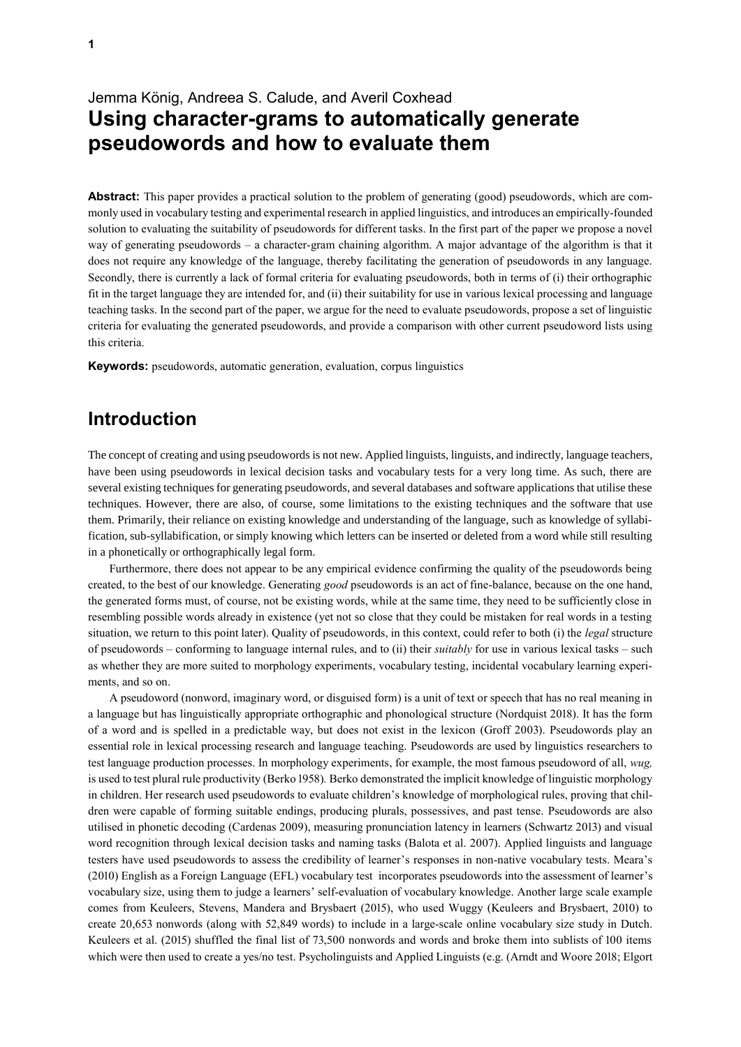# Jemma König, Andreea S. Calude, and Averil Coxhead **Using character-grams to automatically generate pseudowords and how to evaluate them**

**Abstract:** This paper provides a practical solution to the problem of generating (good) pseudowords, which are commonly used in vocabulary testing and experimental research in applied linguistics, and introduces an empirically-founded solution to evaluating the suitability of pseudowords for different tasks. In the first part of the paper we propose a novel way of generating pseudowords – a character-gram chaining algorithm. A major advantage of the algorithm is that it does not require any knowledge of the language, thereby facilitating the generation of pseudowords in any language. Secondly, there is currently a lack of formal criteria for evaluating pseudowords, both in terms of (i) their orthographic fit in the target language they are intended for, and (ii) their suitability for use in various lexical processing and language teaching tasks. In the second part of the paper, we argue for the need to evaluate pseudowords, propose a set of linguistic criteria for evaluating the generated pseudowords, and provide a comparison with other current pseudoword lists using this criteria.

**Keywords:** pseudowords, automatic generation, evaluation, corpus linguistics

## **Introduction**

The concept of creating and using pseudowords is not new. Applied linguists, linguists, and indirectly, language teachers, have been using pseudowords in lexical decision tasks and vocabulary tests for a very long time. As such, there are several existing techniques for generating pseudowords, and several databases and software applications that utilise these techniques. However, there are also, of course, some limitations to the existing techniques and the software that use them. Primarily, their reliance on existing knowledge and understanding of the language, such as knowledge of syllabification, sub-syllabification, or simply knowing which letters can be inserted or deleted from a word while still resulting in a phonetically or orthographically legal form.

Furthermore, there does not appear to be any empirical evidence confirming the quality of the pseudowords being created, to the best of our knowledge. Generating *good* pseudowords is an act of fine-balance, because on the one hand, the generated forms must, of course, not be existing words, while at the same time, they need to be sufficiently close in resembling possible words already in existence (yet not so close that they could be mistaken for real words in a testing situation, we return to this point later). Quality of pseudowords, in this context, could refer to both (i) the *legal* structure of pseudowords – conforming to language internal rules, and to (ii) their *suitably* for use in various lexical tasks – such as whether they are more suited to morphology experiments, vocabulary testing, incidental vocabulary learning experiments, and so on.

A pseudoword (nonword, imaginary word, or disguised form) is a unit of text or speech that has no real meaning in a language but has linguistically appropriate orthographic and phonological structure (Nordquist 2018). It has the form of a word and is spelled in a predictable way, but does not exist in the lexicon (Groff 2003). Pseudowords play an essential role in lexical processing research and language teaching. Pseudowords are used by linguistics researchers to test language production processes. In morphology experiments, for example, the most famous pseudoword of all, *wug,* is used to test plural rule productivity (Berko 1958)*.* Berko demonstrated the implicit knowledge of linguistic morphology in children. Her research used pseudowords to evaluate children's knowledge of morphological rules, proving that children were capable of forming suitable endings, producing plurals, possessives, and past tense. Pseudowords are also utilised in phonetic decoding (Cardenas 2009), measuring pronunciation latency in learners (Schwartz 2013) and visual word recognition through lexical decision tasks and naming tasks (Balota et al. 2007). Applied linguists and language testers have used pseudowords to assess the credibility of learner's responses in non-native vocabulary tests. Meara's (2010) English as a Foreign Language (EFL) vocabulary test incorporates pseudowords into the assessment of learner's vocabulary size, using them to judge a learners' self-evaluation of vocabulary knowledge. Another large scale example comes from Keuleers, Stevens, Mandera and Brysbaert (2015), who used Wuggy (Keuleers and Brysbaert, 2010) to create 20,653 nonwords (along with 52,849 words) to include in a large-scale online vocabulary size study in Dutch. Keuleers et al. (2015) shuffled the final list of 73,500 nonwords and words and broke them into sublists of 100 items which were then used to create a yes/no test. Psycholinguists and Applied Linguists (e.g. (Arndt and Woore 2018; Elgort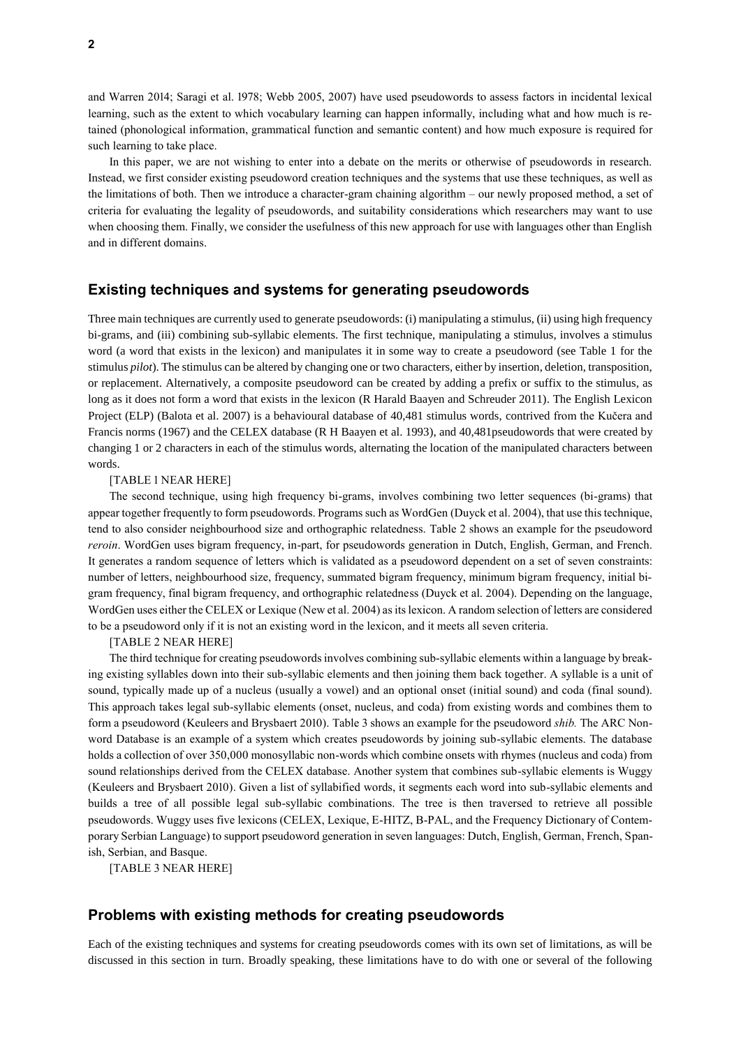and Warren 2014; Saragi et al. 1978; Webb 2005, 2007) have used pseudowords to assess factors in incidental lexical learning, such as the extent to which vocabulary learning can happen informally, including what and how much is retained (phonological information, grammatical function and semantic content) and how much exposure is required for such learning to take place.

In this paper, we are not wishing to enter into a debate on the merits or otherwise of pseudowords in research. Instead, we first consider existing pseudoword creation techniques and the systems that use these techniques, as well as the limitations of both. Then we introduce a character-gram chaining algorithm – our newly proposed method, a set of criteria for evaluating the legality of pseudowords, and suitability considerations which researchers may want to use when choosing them. Finally, we consider the usefulness of this new approach for use with languages other than English and in different domains.

### **Existing techniques and systems for generating pseudowords**

Three main techniques are currently used to generate pseudowords: (i) manipulating a stimulus, (ii) using high frequency bi-grams, and (iii) combining sub-syllabic elements. The first technique, manipulating a stimulus, involves a stimulus word (a word that exists in the lexicon) and manipulates it in some way to create a pseudoword (see Table 1 for the stimulus *pilot*). The stimulus can be altered by changing one or two characters, either by insertion, deletion, transposition, or replacement. Alternatively, a composite pseudoword can be created by adding a prefix or suffix to the stimulus, as long as it does not form a word that exists in the lexicon (R Harald Baayen and Schreuder 2011). The English Lexicon Project (ELP) (Balota et al. 2007) is a behavioural database of 40,481 stimulus words, contrived from the Kučera and Francis norms (1967) and the CELEX database (R H Baayen et al. 1993), and 40,481pseudowords that were created by changing 1 or 2 characters in each of the stimulus words, alternating the location of the manipulated characters between words.

#### [TABLE 1 NEAR HERE]

The second technique, using high frequency bi-grams, involves combining two letter sequences (bi-grams) that appear together frequently to form pseudowords. Programs such as WordGen (Duyck et al. 2004), that use this technique, tend to also consider neighbourhood size and orthographic relatedness. [Table 2](#page-10-0) shows an example for the pseudoword *reroin*. WordGen uses bigram frequency, in-part, for pseudowords generation in Dutch, English, German, and French. It generates a random sequence of letters which is validated as a pseudoword dependent on a set of seven constraints: number of letters, neighbourhood size, frequency, summated bigram frequency, minimum bigram frequency, initial bigram frequency, final bigram frequency, and orthographic relatedness (Duyck et al. 2004). Depending on the language, WordGen uses either the CELEX or Lexique (New et al. 2004) as its lexicon. A random selection of letters are considered to be a pseudoword only if it is not an existing word in the lexicon, and it meets all seven criteria.

[TABLE 2 NEAR HERE]

The third technique for creating pseudowords involves combining sub-syllabic elements within a language by breaking existing syllables down into their sub-syllabic elements and then joining them back together. A syllable is a unit of sound, typically made up of a nucleus (usually a vowel) and an optional onset (initial sound) and coda (final sound). This approach takes legal sub-syllabic elements (onset, nucleus, and coda) from existing words and combines them to form a pseudoword (Keuleers and Brysbaert 2010). [Table 3](#page-10-1) shows an example for the pseudoword *shib.* The ARC Nonword Database is an example of a system which creates pseudowords by joining sub-syllabic elements. The database holds a collection of over 350,000 monosyllabic non-words which combine onsets with rhymes (nucleus and coda) from sound relationships derived from the CELEX database. Another system that combines sub-syllabic elements is Wuggy (Keuleers and Brysbaert 2010). Given a list of syllabified words, it segments each word into sub-syllabic elements and builds a tree of all possible legal sub-syllabic combinations. The tree is then traversed to retrieve all possible pseudowords. Wuggy uses five lexicons (CELEX, Lexique, E-HITZ, B-PAL, and the Frequency Dictionary of Contemporary Serbian Language) to support pseudoword generation in seven languages: Dutch, English, German, French, Spanish, Serbian, and Basque.

[TABLE 3 NEAR HERE]

### **Problems with existing methods for creating pseudowords**

Each of the existing techniques and systems for creating pseudowords comes with its own set of limitations, as will be discussed in this section in turn. Broadly speaking, these limitations have to do with one or several of the following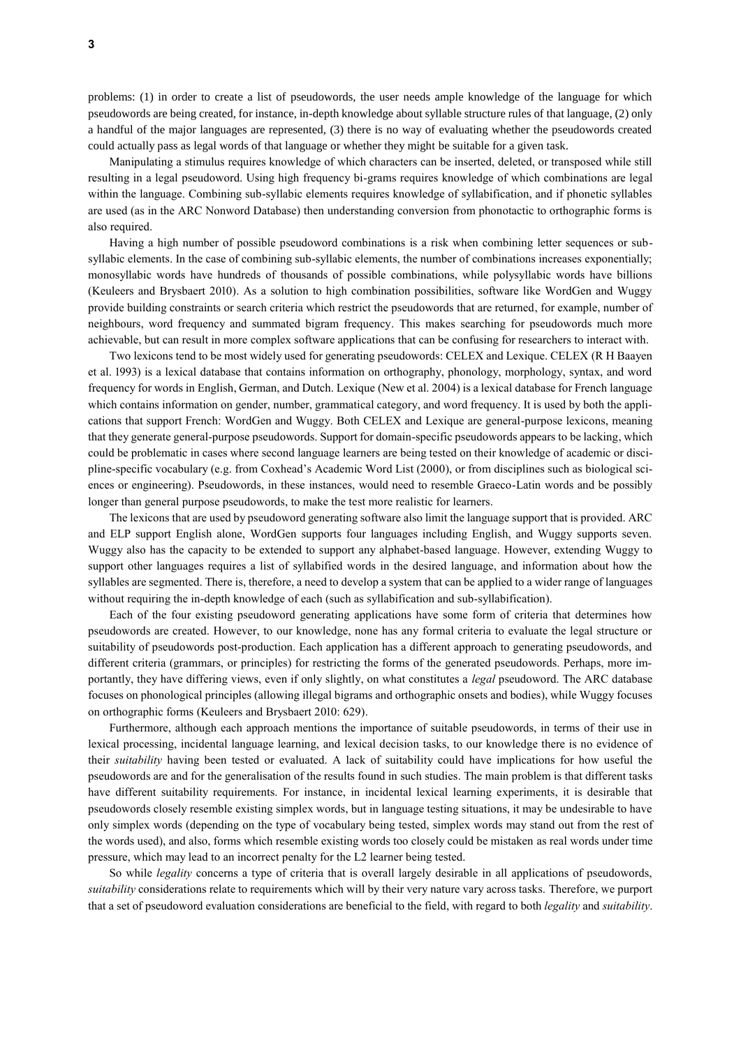problems: (1) in order to create a list of pseudowords, the user needs ample knowledge of the language for which pseudowords are being created, for instance, in-depth knowledge about syllable structure rules of that language, (2) only a handful of the major languages are represented, (3) there is no way of evaluating whether the pseudowords created could actually pass as legal words of that language or whether they might be suitable for a given task.

Manipulating a stimulus requires knowledge of which characters can be inserted, deleted, or transposed while still resulting in a legal pseudoword. Using high frequency bi-grams requires knowledge of which combinations are legal within the language. Combining sub-syllabic elements requires knowledge of syllabification, and if phonetic syllables are used (as in the ARC Nonword Database) then understanding conversion from phonotactic to orthographic forms is also required.

Having a high number of possible pseudoword combinations is a risk when combining letter sequences or subsyllabic elements. In the case of combining sub-syllabic elements, the number of combinations increases exponentially; monosyllabic words have hundreds of thousands of possible combinations, while polysyllabic words have billions (Keuleers and Brysbaert 2010). As a solution to high combination possibilities, software like WordGen and Wuggy provide building constraints or search criteria which restrict the pseudowords that are returned, for example, number of neighbours, word frequency and summated bigram frequency. This makes searching for pseudowords much more achievable, but can result in more complex software applications that can be confusing for researchers to interact with.

Two lexicons tend to be most widely used for generating pseudowords: CELEX and Lexique. CELEX (R H Baayen et al. 1993) is a lexical database that contains information on orthography, phonology, morphology, syntax, and word frequency for words in English, German, and Dutch. Lexique (New et al. 2004) is a lexical database for French language which contains information on gender, number, grammatical category, and word frequency. It is used by both the applications that support French: WordGen and Wuggy. Both CELEX and Lexique are general-purpose lexicons, meaning that they generate general-purpose pseudowords. Support for domain-specific pseudowords appears to be lacking, which could be problematic in cases where second language learners are being tested on their knowledge of academic or discipline-specific vocabulary (e.g. from Coxhead's Academic Word List (2000), or from disciplines such as biological sciences or engineering). Pseudowords, in these instances, would need to resemble Graeco-Latin words and be possibly longer than general purpose pseudowords, to make the test more realistic for learners.

The lexicons that are used by pseudoword generating software also limit the language support that is provided. ARC and ELP support English alone, WordGen supports four languages including English, and Wuggy supports seven. Wuggy also has the capacity to be extended to support any alphabet-based language. However, extending Wuggy to support other languages requires a list of syllabified words in the desired language, and information about how the syllables are segmented. There is, therefore, a need to develop a system that can be applied to a wider range of languages without requiring the in-depth knowledge of each (such as syllabification and sub-syllabification).

Each of the four existing pseudoword generating applications have some form of criteria that determines how pseudowords are created. However, to our knowledge, none has any formal criteria to evaluate the legal structure or suitability of pseudowords post-production. Each application has a different approach to generating pseudowords, and different criteria (grammars, or principles) for restricting the forms of the generated pseudowords. Perhaps, more importantly, they have differing views, even if only slightly, on what constitutes a *legal* pseudoword. The ARC database focuses on phonological principles (allowing illegal bigrams and orthographic onsets and bodies), while Wuggy focuses on orthographic forms (Keuleers and Brysbaert 2010: 629).

Furthermore, although each approach mentions the importance of suitable pseudowords, in terms of their use in lexical processing, incidental language learning, and lexical decision tasks, to our knowledge there is no evidence of their *suitability* having been tested or evaluated. A lack of suitability could have implications for how useful the pseudowords are and for the generalisation of the results found in such studies. The main problem is that different tasks have different suitability requirements. For instance, in incidental lexical learning experiments, it is desirable that pseudowords closely resemble existing simplex words, but in language testing situations, it may be undesirable to have only simplex words (depending on the type of vocabulary being tested, simplex words may stand out from the rest of the words used), and also, forms which resemble existing words too closely could be mistaken as real words under time pressure, which may lead to an incorrect penalty for the L2 learner being tested.

So while *legality* concerns a type of criteria that is overall largely desirable in all applications of pseudowords, *suitability* considerations relate to requirements which will by their very nature vary across tasks. Therefore, we purport that a set of pseudoword evaluation considerations are beneficial to the field, with regard to both *legality* and *suitability*.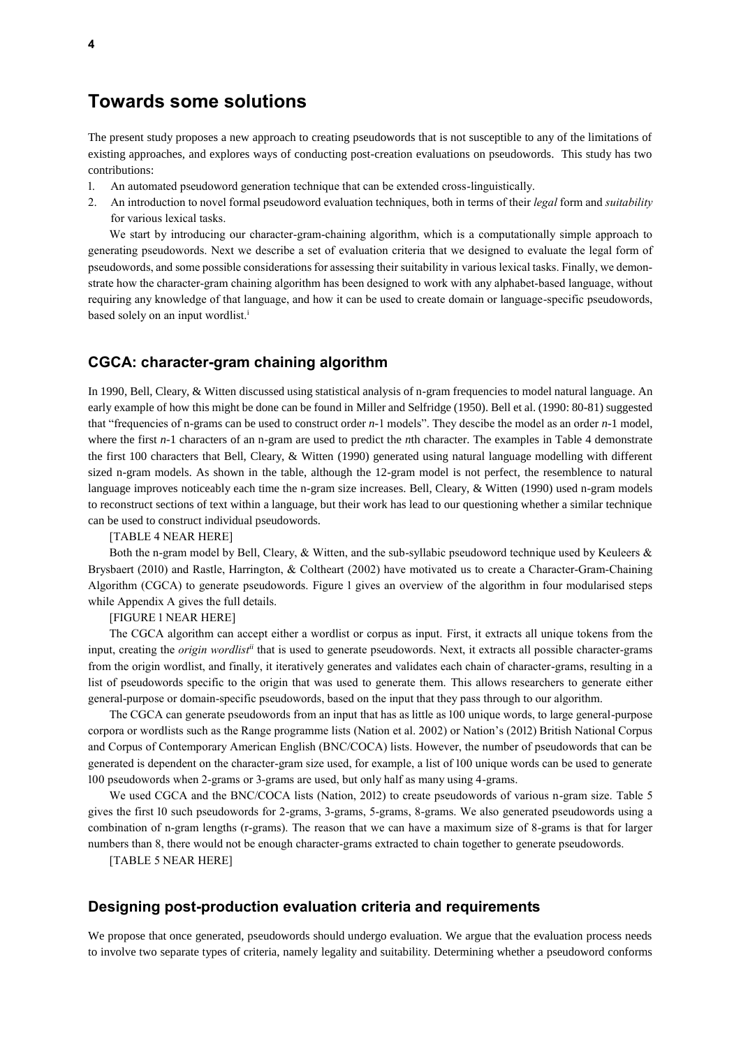### **Towards some solutions**

The present study proposes a new approach to creating pseudowords that is not susceptible to any of the limitations of existing approaches, and explores ways of conducting post-creation evaluations on pseudowords. This study has two contributions:

- 1. An automated pseudoword generation technique that can be extended cross-linguistically.
- 2. An introduction to novel formal pseudoword evaluation techniques, both in terms of their *legal* form and *suitability* for various lexical tasks.

We start by introducing our character-gram-chaining algorithm, which is a computationally simple approach to generating pseudowords. Next we describe a set of evaluation criteria that we designed to evaluate the legal form of pseudowords, and some possible considerations for assessing their suitability in various lexical tasks. Finally, we demonstrate how the character-gram chaining algorithm has been designed to work with any alphabet-based language, without requiring any knowledge of that language, and how it can be used to create domain or language-specific pseudowords, based solely on an input wordlist.<sup>i</sup>

### **CGCA: character-gram chaining algorithm**

In 1990, Bell, Cleary, & Witten discussed using statistical analysis of n-gram frequencies to model natural language. An early example of how this might be done can be found in Miller and Selfridge (1950). Bell et al. (1990: 80-81) suggested that "frequencies of n-grams can be used to construct order *n*-1 models". They descibe the model as an order *n*-1 model, where the first *n*-1 characters of an n-gram are used to predict the *n*th character. The examples in [Table 4](#page-10-2) demonstrate the first 100 characters that Bell, Cleary, & Witten (1990) generated using natural language modelling with different sized n-gram models. As shown in the table, although the 12-gram model is not perfect, the resemblence to natural language improves noticeably each time the n-gram size increases. Bell, Cleary, & Witten (1990) used n-gram models to reconstruct sections of text within a language, but their work has lead to our questioning whether a similar technique can be used to construct individual pseudowords.

[TABLE 4 NEAR HERE]

Both the n-gram model by Bell, Cleary, & Witten, and the sub-syllabic pseudoword technique used by Keuleers & Brysbaert (2010) and Rastle, Harrington, & Coltheart (2002) have motivated us to create a Character-Gram-Chaining Algorithm (CGCA) to generate pseudowords. [Figure 1](#page-10-3) gives an overview of the algorithm in four modularised steps while Appendix A gives the full details.

[FIGURE 1 NEAR HERE]

The CGCA algorithm can accept either a wordlist or corpus as input. First, it extracts all unique tokens from the input, creating the *origin wordlistii* that is used to generate pseudowords. Next, it extracts all possible character-grams from the origin wordlist, and finally, it iteratively generates and validates each chain of character-grams, resulting in a list of pseudowords specific to the origin that was used to generate them. This allows researchers to generate either general-purpose or domain-specific pseudowords, based on the input that they pass through to our algorithm.

The CGCA can generate pseudowords from an input that has as little as 100 unique words, to large general-purpose corpora or wordlists such as the Range programme lists (Nation et al. 2002) or Nation's (2012) British National Corpus and Corpus of Contemporary American English (BNC/COCA) lists. However, the number of pseudowords that can be generated is dependent on the character-gram size used, for example, a list of 100 unique words can be used to generate 100 pseudowords when 2-grams or 3-grams are used, but only half as many using 4-grams.

We used CGCA and the BNC/COCA lists (Nation, 2012) to create pseudowords of various n-gram size. [Table 5](#page-10-4) gives the first 10 such pseudowords for 2-grams, 3-grams, 5-grams, 8-grams. We also generated pseudowords using a combination of n-gram lengths (r-grams). The reason that we can have a maximum size of 8-grams is that for larger numbers than 8, there would not be enough character-grams extracted to chain together to generate pseudowords.

[TABLE 5 NEAR HERE]

### **Designing post-production evaluation criteria and requirements**

We propose that once generated, pseudowords should undergo evaluation. We argue that the evaluation process needs to involve two separate types of criteria, namely legality and suitability. Determining whether a pseudoword conforms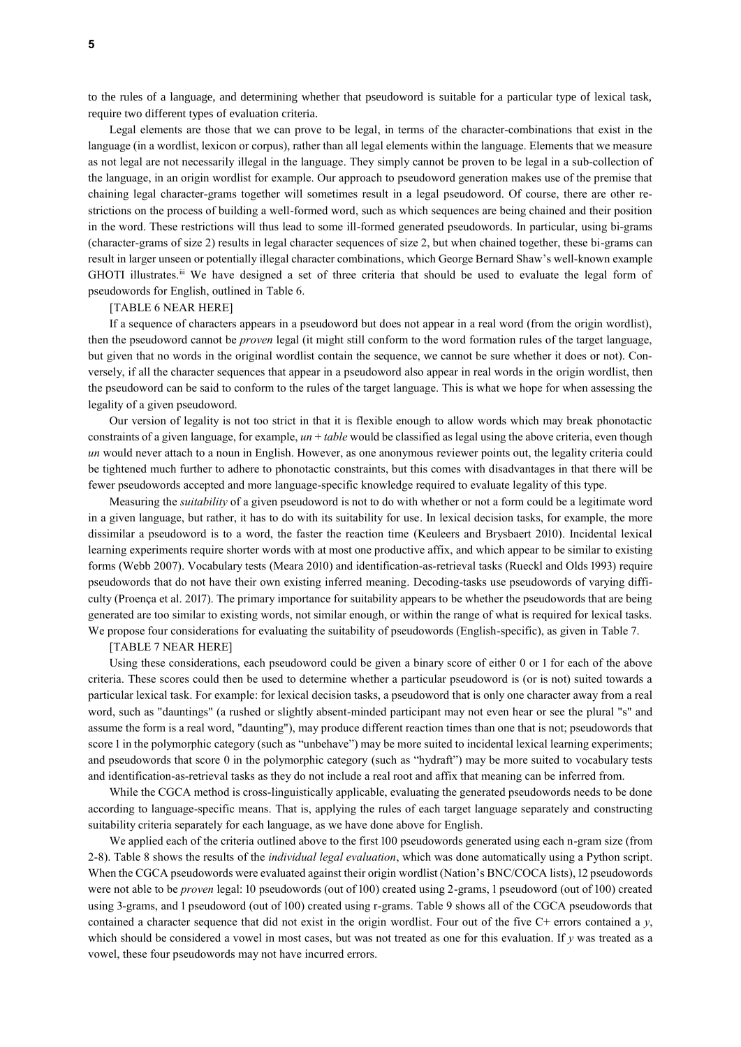to the rules of a language, and determining whether that pseudoword is suitable for a particular type of lexical task, require two different types of evaluation criteria.

Legal elements are those that we can prove to be legal, in terms of the character-combinations that exist in the language (in a wordlist, lexicon or corpus), rather than all legal elements within the language. Elements that we measure as not legal are not necessarily illegal in the language. They simply cannot be proven to be legal in a sub-collection of the language, in an origin wordlist for example. Our approach to pseudoword generation makes use of the premise that chaining legal character-grams together will sometimes result in a legal pseudoword. Of course, there are other restrictions on the process of building a well-formed word, such as which sequences are being chained and their position in the word. These restrictions will thus lead to some ill-formed generated pseudowords. In particular, using bi-grams (character-grams of size 2) results in legal character sequences of size 2, but when chained together, these bi-grams can result in larger unseen or potentially illegal character combinations, which George Bernard Shaw's well-known example GHOTI illustrates.<sup>ii</sup> We have designed a set of three criteria that should be used to evaluate the legal form of pseudowords for English, outlined in [Table 6.](#page-11-0)

#### [TABLE 6 NEAR HERE]

If a sequence of characters appears in a pseudoword but does not appear in a real word (from the origin wordlist), then the pseudoword cannot be *proven* legal (it might still conform to the word formation rules of the target language, but given that no words in the original wordlist contain the sequence, we cannot be sure whether it does or not). Conversely, if all the character sequences that appear in a pseudoword also appear in real words in the origin wordlist, then the pseudoword can be said to conform to the rules of the target language. This is what we hope for when assessing the legality of a given pseudoword.

Our version of legality is not too strict in that it is flexible enough to allow words which may break phonotactic constraints of a given language, for example,  $un + table$  would be classified as legal using the above criteria, even though *un* would never attach to a noun in English. However, as one anonymous reviewer points out, the legality criteria could be tightened much further to adhere to phonotactic constraints, but this comes with disadvantages in that there will be fewer pseudowords accepted and more language-specific knowledge required to evaluate legality of this type.

Measuring the *suitability* of a given pseudoword is not to do with whether or not a form could be a legitimate word in a given language, but rather, it has to do with its suitability for use. In lexical decision tasks, for example, the more dissimilar a pseudoword is to a word, the faster the reaction time (Keuleers and Brysbaert 2010). Incidental lexical learning experiments require shorter words with at most one productive affix, and which appear to be similar to existing forms (Webb 2007). Vocabulary tests (Meara 2010) and identification-as-retrieval tasks (Rueckl and Olds 1993) require pseudowords that do not have their own existing inferred meaning. Decoding-tasks use pseudowords of varying difficulty (Proença et al. 2017). The primary importance for suitability appears to be whether the pseudowords that are being generated are too similar to existing words, not similar enough, or within the range of what is required for lexical tasks. We propose four considerations for evaluating the suitability of pseudowords (English-specific), as given in [Table 7.](#page-11-1)

#### [TABLE 7 NEAR HERE]

Using these considerations, each pseudoword could be given a binary score of either 0 or 1 for each of the above criteria. These scores could then be used to determine whether a particular pseudoword is (or is not) suited towards a particular lexical task. For example: for lexical decision tasks, a pseudoword that is only one character away from a real word, such as "dauntings" (a rushed or slightly absent-minded participant may not even hear or see the plural "s" and assume the form is a real word, "daunting"), may produce different reaction times than one that is not; pseudowords that score 1 in the polymorphic category (such as "unbehave") may be more suited to incidental lexical learning experiments; and pseudowords that score 0 in the polymorphic category (such as "hydraft") may be more suited to vocabulary tests and identification-as-retrieval tasks as they do not include a real root and affix that meaning can be inferred from.

While the CGCA method is cross-linguistically applicable, evaluating the generated pseudowords needs to be done according to language-specific means. That is, applying the rules of each target language separately and constructing suitability criteria separately for each language, as we have done above for English.

We applied each of the criteria outlined above to the first 100 pseudowords generated using each n-gram size (from 2-8)[. Table 8](#page-11-2) shows the results of the *individual legal evaluation*, which was done automatically using a Python script. When the CGCA pseudowords were evaluated against their origin wordlist (Nation's BNC/COCA lists), 12 pseudowords were not able to be *proven* legal: 10 pseudowords (out of 100) created using 2-grams, 1 pseudoword (out of 100) created using 3-grams, and 1 pseudoword (out of 100) created using r-grams. [Table 9](#page-11-3) shows all of the CGCA pseudowords that contained a character sequence that did not exist in the origin wordlist. Four out of the five C+ errors contained a *y*, which should be considered a vowel in most cases, but was not treated as one for this evaluation. If *y* was treated as a vowel, these four pseudowords may not have incurred errors.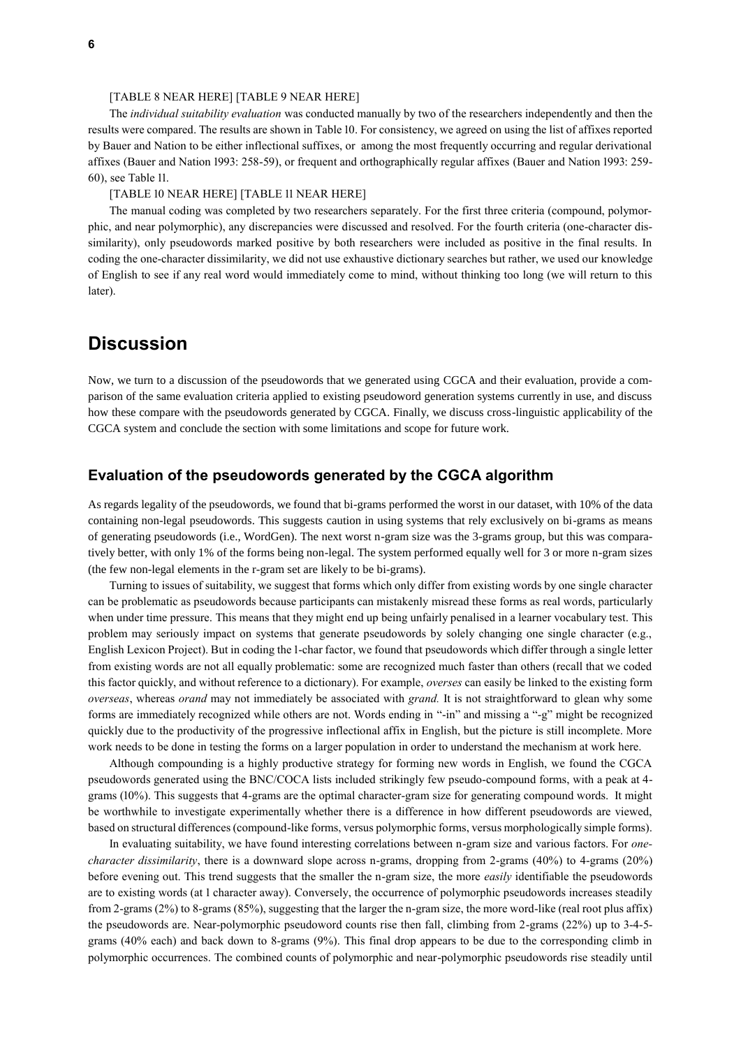#### [TABLE 8 NEAR HERE] [TABLE 9 NEAR HERE]

The *individual suitability evaluation* was conducted manually by two of the researchers independently and then the results were compared. The results are shown in [Table 10.](#page-12-0) For consistency, we agreed on using the list of affixes reported by Bauer and Nation to be either inflectional suffixes, or among the most frequently occurring and regular derivational affixes (Bauer and Nation 1993: 258-59), or frequent and orthographically regular affixes (Bauer and Nation 1993: 259- 60), see [Table 11.](#page-12-1) 

#### [TABLE 10 NEAR HERE] [TABLE 11 NEAR HERE]

The manual coding was completed by two researchers separately. For the first three criteria (compound, polymorphic, and near polymorphic), any discrepancies were discussed and resolved. For the fourth criteria (one-character dissimilarity), only pseudowords marked positive by both researchers were included as positive in the final results. In coding the one-character dissimilarity, we did not use exhaustive dictionary searches but rather, we used our knowledge of English to see if any real word would immediately come to mind, without thinking too long (we will return to this later).

## **Discussion**

Now, we turn to a discussion of the pseudowords that we generated using CGCA and their evaluation, provide a comparison of the same evaluation criteria applied to existing pseudoword generation systems currently in use, and discuss how these compare with the pseudowords generated by CGCA. Finally, we discuss cross-linguistic applicability of the CGCA system and conclude the section with some limitations and scope for future work.

### **Evaluation of the pseudowords generated by the CGCA algorithm**

As regards legality of the pseudowords, we found that bi-grams performed the worst in our dataset, with 10% of the data containing non-legal pseudowords. This suggests caution in using systems that rely exclusively on bi-grams as means of generating pseudowords (i.e., WordGen). The next worst n-gram size was the 3-grams group, but this was comparatively better, with only 1% of the forms being non-legal. The system performed equally well for 3 or more n-gram sizes (the few non-legal elements in the r-gram set are likely to be bi-grams).

Turning to issues of suitability, we suggest that forms which only differ from existing words by one single character can be problematic as pseudowords because participants can mistakenly misread these forms as real words, particularly when under time pressure. This means that they might end up being unfairly penalised in a learner vocabulary test. This problem may seriously impact on systems that generate pseudowords by solely changing one single character (e.g., English Lexicon Project). But in coding the 1-char factor, we found that pseudowords which differ through a single letter from existing words are not all equally problematic: some are recognized much faster than others (recall that we coded this factor quickly, and without reference to a dictionary). For example, *overses* can easily be linked to the existing form *overseas*, whereas *orand* may not immediately be associated with *grand.* It is not straightforward to glean why some forms are immediately recognized while others are not. Words ending in "-in" and missing a "-g" might be recognized quickly due to the productivity of the progressive inflectional affix in English, but the picture is still incomplete. More work needs to be done in testing the forms on a larger population in order to understand the mechanism at work here.

Although compounding is a highly productive strategy for forming new words in English, we found the CGCA pseudowords generated using the BNC/COCA lists included strikingly few pseudo-compound forms, with a peak at 4 grams (10%). This suggests that 4-grams are the optimal character-gram size for generating compound words. It might be worthwhile to investigate experimentally whether there is a difference in how different pseudowords are viewed, based on structural differences (compound-like forms, versus polymorphic forms, versus morphologically simple forms).

In evaluating suitability, we have found interesting correlations between n-gram size and various factors. For *onecharacter dissimilarity*, there is a downward slope across n-grams, dropping from 2-grams (40%) to 4-grams (20%) before evening out. This trend suggests that the smaller the n-gram size, the more *easily* identifiable the pseudowords are to existing words (at 1 character away). Conversely, the occurrence of polymorphic pseudowords increases steadily from 2-grams (2%) to 8-grams (85%), suggesting that the larger the n-gram size, the more word-like (real root plus affix) the pseudowords are. Near-polymorphic pseudoword counts rise then fall, climbing from 2-grams (22%) up to 3-4-5 grams (40% each) and back down to 8-grams (9%). This final drop appears to be due to the corresponding climb in polymorphic occurrences. The combined counts of polymorphic and near-polymorphic pseudowords rise steadily until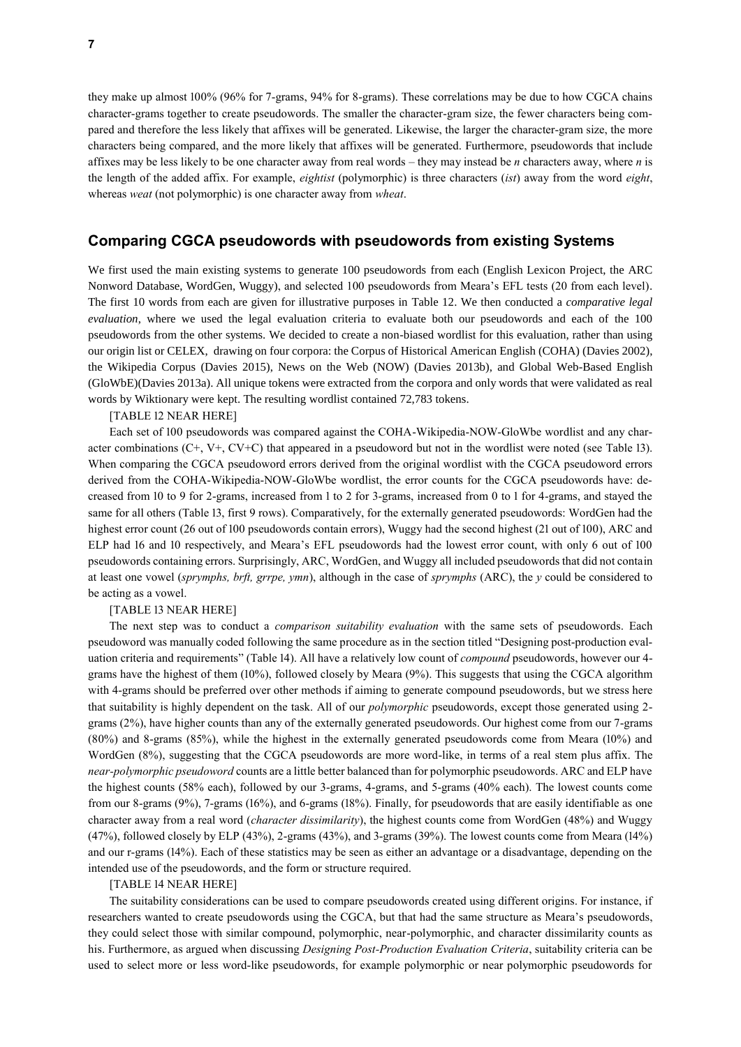they make up almost 100% (96% for 7-grams, 94% for 8-grams). These correlations may be due to how CGCA chains character-grams together to create pseudowords. The smaller the character-gram size, the fewer characters being compared and therefore the less likely that affixes will be generated. Likewise, the larger the character-gram size, the more characters being compared, and the more likely that affixes will be generated. Furthermore, pseudowords that include affixes may be less likely to be one character away from real words – they may instead be *n* characters away, where *n* is the length of the added affix. For example, *eightist* (polymorphic) is three characters (*ist*) away from the word *eight*, whereas *weat* (not polymorphic) is one character away from *wheat*.

### **Comparing CGCA pseudowords with pseudowords from existing Systems**

We first used the main existing systems to generate 100 pseudowords from each (English Lexicon Project, the ARC Nonword Database, WordGen, Wuggy), and selected 100 pseudowords from Meara's EFL tests (20 from each level). The first 10 words from each are given for illustrative purposes in [Table 12.](#page-12-2) We then conducted a *comparative legal evaluation*, where we used the legal evaluation criteria to evaluate both our pseudowords and each of the 100 pseudowords from the other systems. We decided to create a non-biased wordlist for this evaluation, rather than using our origin list or CELEX, drawing on four corpora: the Corpus of Historical American English (COHA) (Davies 2002), the Wikipedia Corpus (Davies 2015), News on the Web (NOW) (Davies 2013b), and Global Web-Based English (GloWbE)(Davies 2013a). All unique tokens were extracted from the corpora and only words that were validated as real words by Wiktionary were kept. The resulting wordlist contained 72,783 tokens.

[TABLE 12 NEAR HERE]

Each set of 100 pseudowords was compared against the COHA-Wikipedia-NOW-GloWbe wordlist and any character combinations (C+, V+, CV+C) that appeared in a pseudoword but not in the wordlist were noted (see [Table 13\)](#page-12-3). When comparing the CGCA pseudoword errors derived from the original wordlist with the CGCA pseudoword errors derived from the COHA-Wikipedia-NOW-GloWbe wordlist, the error counts for the CGCA pseudowords have: decreased from 10 to 9 for 2-grams, increased from 1 to 2 for 3-grams, increased from 0 to 1 for 4-grams, and stayed the same for all others (Table 13, first 9 rows). Comparatively, for the externally generated pseudowords: WordGen had the highest error count (26 out of 100 pseudowords contain errors), Wuggy had the second highest (21 out of 100), ARC and ELP had 16 and 10 respectively, and Meara's EFL pseudowords had the lowest error count, with only 6 out of 100 pseudowords containing errors. Surprisingly, ARC, WordGen, and Wuggy all included pseudowords that did not contain at least one vowel (*sprymphs, brft, grrpe, ymn*), although in the case of *sprymphs* (ARC), the *y* could be considered to be acting as a vowel.

#### [TABLE 13 NEAR HERE]

The next step was to conduct a *comparison suitability evaluation* with the same sets of pseudowords. Each pseudoword was manually coded following the same procedure as in the section titled "Designing post-production evaluation criteria and requirements" [\(Table 14\)](#page-13-0). All have a relatively low count of *compound* pseudowords, however our 4 grams have the highest of them (10%), followed closely by Meara (9%). This suggests that using the CGCA algorithm with 4-grams should be preferred over other methods if aiming to generate compound pseudowords, but we stress here that suitability is highly dependent on the task. All of our *polymorphic* pseudowords, except those generated using 2 grams (2%), have higher counts than any of the externally generated pseudowords. Our highest come from our 7-grams (80%) and 8-grams (85%), while the highest in the externally generated pseudowords come from Meara (10%) and WordGen (8%), suggesting that the CGCA pseudowords are more word-like, in terms of a real stem plus affix. The *near-polymorphic pseudoword* counts are a little better balanced than for polymorphic pseudowords. ARC and ELP have the highest counts (58% each), followed by our 3-grams, 4-grams, and 5-grams (40% each). The lowest counts come from our 8-grams (9%), 7-grams (16%), and 6-grams (18%). Finally, for pseudowords that are easily identifiable as one character away from a real word (*character dissimilarity*), the highest counts come from WordGen (48%) and Wuggy (47%), followed closely by ELP (43%), 2-grams (43%), and 3-grams (39%). The lowest counts come from Meara (14%) and our r-grams (14%). Each of these statistics may be seen as either an advantage or a disadvantage, depending on the intended use of the pseudowords, and the form or structure required.

#### [TABLE 14 NEAR HERE]

The suitability considerations can be used to compare pseudowords created using different origins. For instance, if researchers wanted to create pseudowords using the CGCA, but that had the same structure as Meara's pseudowords, they could select those with similar compound, polymorphic, near-polymorphic, and character dissimilarity counts as his. Furthermore, as argued when discussing *Designing Post-Production Evaluation Criteria*, suitability criteria can be used to select more or less word-like pseudowords, for example polymorphic or near polymorphic pseudowords for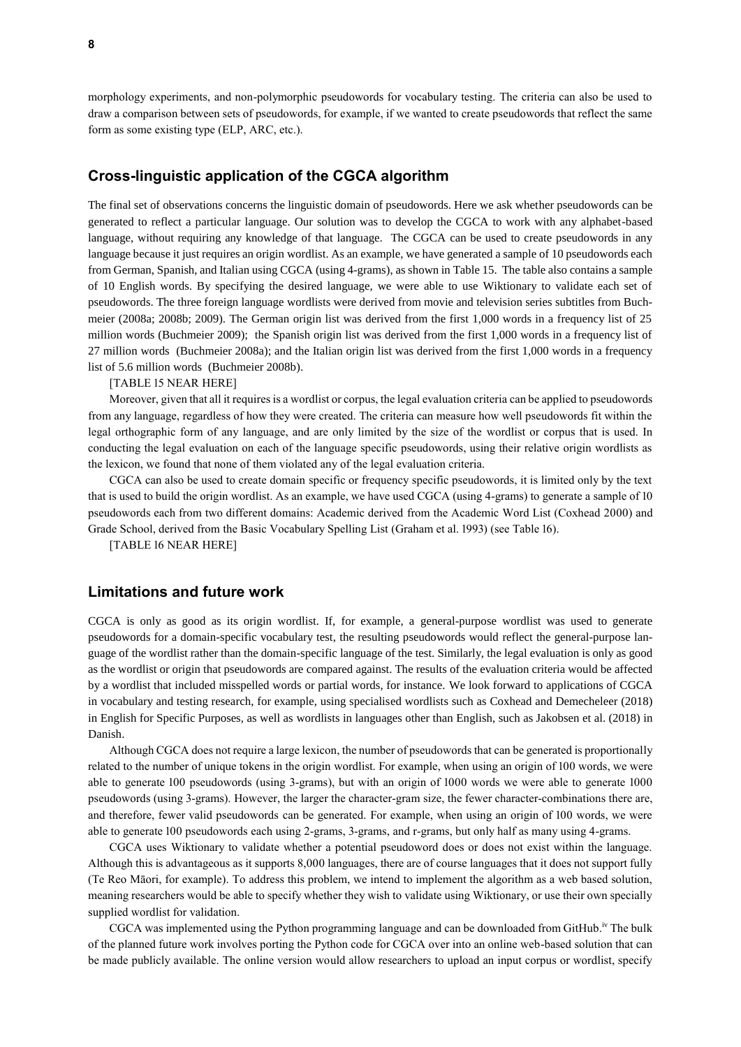morphology experiments, and non-polymorphic pseudowords for vocabulary testing. The criteria can also be used to draw a comparison between sets of pseudowords, for example, if we wanted to create pseudowords that reflect the same form as some existing type (ELP, ARC, etc.).

### **Cross-linguistic application of the CGCA algorithm**

The final set of observations concerns the linguistic domain of pseudowords. Here we ask whether pseudowords can be generated to reflect a particular language. Our solution was to develop the CGCA to work with any alphabet-based language, without requiring any knowledge of that language. The CGCA can be used to create pseudowords in any language because it just requires an origin wordlist. As an example, we have generated a sample of 10 pseudowords each from German, Spanish, and Italian using CGCA (using 4-grams), as shown in [Table 15.](#page-13-1) The table also contains a sample of 10 English words. By specifying the desired language, we were able to use Wiktionary to validate each set of pseudowords. The three foreign language wordlists were derived from movie and television series subtitles from Buchmeier (2008a; 2008b; 2009). The German origin list was derived from the first 1,000 words in a frequency list of 25 million words (Buchmeier 2009); the Spanish origin list was derived from the first 1,000 words in a frequency list of 27 million words (Buchmeier 2008a); and the Italian origin list was derived from the first 1,000 words in a frequency list of 5.6 million words (Buchmeier 2008b).

[TABLE 15 NEAR HERE]

Moreover, given that all it requires is a wordlist or corpus, the legal evaluation criteria can be applied to pseudowords from any language, regardless of how they were created. The criteria can measure how well pseudowords fit within the legal orthographic form of any language, and are only limited by the size of the wordlist or corpus that is used. In conducting the legal evaluation on each of the language specific pseudowords, using their relative origin wordlists as the lexicon, we found that none of them violated any of the legal evaluation criteria.

CGCA can also be used to create domain specific or frequency specific pseudowords, it is limited only by the text that is used to build the origin wordlist. As an example, we have used CGCA (using 4-grams) to generate a sample of 10 pseudowords each from two different domains: Academic derived from the Academic Word List (Coxhead 2000) and Grade School, derived from the Basic Vocabulary Spelling List (Graham et al. 1993) (see [Table 16\)](#page-13-2).

[TABLE 16 NEAR HERE]

### **Limitations and future work**

CGCA is only as good as its origin wordlist. If, for example, a general-purpose wordlist was used to generate pseudowords for a domain-specific vocabulary test, the resulting pseudowords would reflect the general-purpose language of the wordlist rather than the domain-specific language of the test. Similarly, the legal evaluation is only as good as the wordlist or origin that pseudowords are compared against. The results of the evaluation criteria would be affected by a wordlist that included misspelled words or partial words, for instance. We look forward to applications of CGCA in vocabulary and testing research, for example, using specialised wordlists such as Coxhead and Demecheleer (2018) in English for Specific Purposes, as well as wordlists in languages other than English, such as Jakobsen et al. (2018) in Danish.

Although CGCA does not require a large lexicon, the number of pseudowords that can be generated is proportionally related to the number of unique tokens in the origin wordlist. For example, when using an origin of 100 words, we were able to generate 100 pseudowords (using 3-grams), but with an origin of 1000 words we were able to generate 1000 pseudowords (using 3-grams). However, the larger the character-gram size, the fewer character-combinations there are, and therefore, fewer valid pseudowords can be generated. For example, when using an origin of 100 words, we were able to generate 100 pseudowords each using 2-grams, 3-grams, and r-grams, but only half as many using 4-grams.

CGCA uses Wiktionary to validate whether a potential pseudoword does or does not exist within the language. Although this is advantageous as it supports 8,000 languages, there are of course languages that it does not support fully (Te Reo Māori, for example). To address this problem, we intend to implement the algorithm as a web based solution, meaning researchers would be able to specify whether they wish to validate using Wiktionary, or use their own specially supplied wordlist for validation.

CGCA was implemented using the Python programming language and can be downloaded from GitHub. iv The bulk of the planned future work involves porting the Python code for CGCA over into an online web-based solution that can be made publicly available. The online version would allow researchers to upload an input corpus or wordlist, specify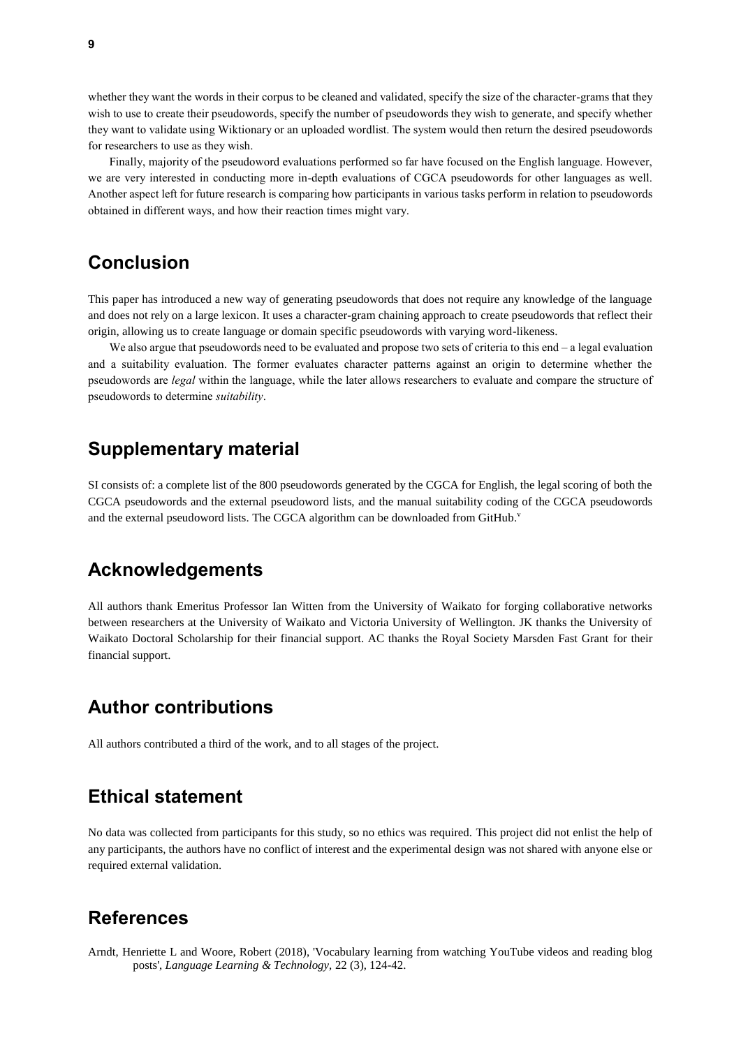whether they want the words in their corpus to be cleaned and validated, specify the size of the character-grams that they wish to use to create their pseudowords, specify the number of pseudowords they wish to generate, and specify whether they want to validate using Wiktionary or an uploaded wordlist. The system would then return the desired pseudowords for researchers to use as they wish.

Finally, majority of the pseudoword evaluations performed so far have focused on the English language. However, we are very interested in conducting more in-depth evaluations of CGCA pseudowords for other languages as well. Another aspect left for future research is comparing how participants in various tasks perform in relation to pseudowords obtained in different ways, and how their reaction times might vary.

## **Conclusion**

This paper has introduced a new way of generating pseudowords that does not require any knowledge of the language and does not rely on a large lexicon. It uses a character-gram chaining approach to create pseudowords that reflect their origin, allowing us to create language or domain specific pseudowords with varying word-likeness.

We also argue that pseudowords need to be evaluated and propose two sets of criteria to this end – a legal evaluation and a suitability evaluation. The former evaluates character patterns against an origin to determine whether the pseudowords are *legal* within the language, while the later allows researchers to evaluate and compare the structure of pseudowords to determine *suitability*.

## **Supplementary material**

SI consists of: a complete list of the 800 pseudowords generated by the CGCA for English, the legal scoring of both the CGCA pseudowords and the external pseudoword lists, and the manual suitability coding of the CGCA pseudowords and the external pseudoword lists. The CGCA algorithm can be downloaded from GitHub.'

## **Acknowledgements**

All authors thank Emeritus Professor Ian Witten from the University of Waikato for forging collaborative networks between researchers at the University of Waikato and Victoria University of Wellington. JK thanks the University of Waikato Doctoral Scholarship for their financial support. AC thanks the Royal Society Marsden Fast Grant for their financial support.

## **Author contributions**

All authors contributed a third of the work, and to all stages of the project.

## **Ethical statement**

No data was collected from participants for this study, so no ethics was required. This project did not enlist the help of any participants, the authors have no conflict of interest and the experimental design was not shared with anyone else or required external validation.

## **References**

Arndt, Henriette L and Woore, Robert (2018), 'Vocabulary learning from watching YouTube videos and reading blog posts', *Language Learning & Technology,* 22 (3), 124-42.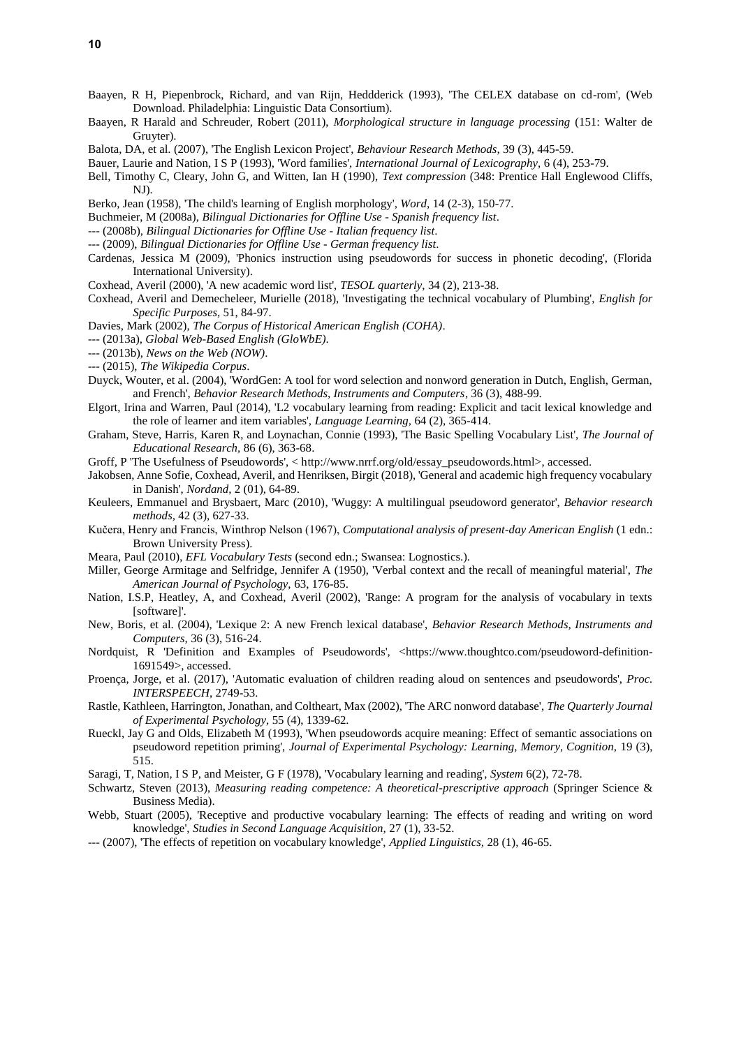- Baayen, R H, Piepenbrock, Richard, and van Rijn, Heddderick (1993), 'The CELEX database on cd-rom', (Web Download. Philadelphia: Linguistic Data Consortium).
- Baayen, R Harald and Schreuder, Robert (2011), *Morphological structure in language processing* (151: Walter de Gruyter).
- Balota, DA, et al. (2007), 'The English Lexicon Project', *Behaviour Research Methods,* 39 (3), 445-59.
- Bauer, Laurie and Nation, I S P (1993), 'Word families', *International Journal of Lexicography,* 6 (4), 253-79.
- Bell, Timothy C, Cleary, John G, and Witten, Ian H (1990), *Text compression* (348: Prentice Hall Englewood Cliffs, NJ).
- Berko, Jean (1958), 'The child's learning of English morphology', *Word,* 14 (2-3), 150-77.
- Buchmeier, M (2008a), *Bilingual Dictionaries for Offline Use - Spanish frequency list*.
- --- (2008b), *Bilingual Dictionaries for Offline Use - Italian frequency list*.
- --- (2009), *Bilingual Dictionaries for Offline Use - German frequency list*.
- Cardenas, Jessica M (2009), 'Phonics instruction using pseudowords for success in phonetic decoding', (Florida International University).
- Coxhead, Averil (2000), 'A new academic word list', *TESOL quarterly,* 34 (2), 213-38.
- Coxhead, Averil and Demecheleer, Murielle (2018), 'Investigating the technical vocabulary of Plumbing', *English for Specific Purposes,* 51, 84-97.
- Davies, Mark (2002), *The Corpus of Historical American English (COHA)*.
- --- (2013a), *Global Web-Based English (GloWbE)*.
- --- (2013b), *News on the Web (NOW)*.
- --- (2015), *The Wikipedia Corpus*.
- Duyck, Wouter, et al. (2004), 'WordGen: A tool for word selection and nonword generation in Dutch, English, German, and French', *Behavior Research Methods, Instruments and Computers,* 36 (3), 488-99.
- Elgort, Irina and Warren, Paul (2014), 'L2 vocabulary learning from reading: Explicit and tacit lexical knowledge and the role of learner and item variables', *Language Learning,* 64 (2), 365-414.
- Graham, Steve, Harris, Karen R, and Loynachan, Connie (1993), 'The Basic Spelling Vocabulary List', *The Journal of Educational Research,* 86 (6), 363-68.
- Groff, P 'The Usefulness of Pseudowords', < [http://www.nrrf.org/old/essay\\_pseudowords.html>,](ttp://www.nrrf.org/old/essay_pseudowords.html%3e) accessed.
- Jakobsen, Anne Sofie, Coxhead, Averil, and Henriksen, Birgit (2018), 'General and academic high frequency vocabulary in Danish', *Nordand,* 2 (01), 64-89.
- Keuleers, Emmanuel and Brysbaert, Marc (2010), 'Wuggy: A multilingual pseudoword generator', *Behavior research methods,* 42 (3), 627-33.
- Kučera, Henry and Francis, Winthrop Nelson (1967), *Computational analysis of present-day American English* (1 edn.: Brown University Press).
- Meara, Paul (2010), *EFL Vocabulary Tests* (second edn.; Swansea: Lognostics.).
- Miller, George Armitage and Selfridge, Jennifer A (1950), 'Verbal context and the recall of meaningful material', *The American Journal of Psychology,* 63, 176-85.
- Nation, I.S.P, Heatley, A, and Coxhead, Averil (2002), 'Range: A program for the analysis of vocabulary in texts [software]'.
- New, Boris, et al. (2004), 'Lexique 2: A new French lexical database', *Behavior Research Methods, Instruments and Computers,* 36 (3), 516-24.
- Nordquist, R 'Definition and Examples of Pseudowords', [<https://www.thoughtco.com/pseudoword-definition-](https://www.thoughtco.com/pseudoword-definition-1691549)[1691549>](https://www.thoughtco.com/pseudoword-definition-1691549), accessed.
- Proença, Jorge, et al. (2017), 'Automatic evaluation of children reading aloud on sentences and pseudowords', *Proc. INTERSPEECH*, 2749-53.
- Rastle, Kathleen, Harrington, Jonathan, and Coltheart, Max (2002), 'The ARC nonword database', *The Quarterly Journal of Experimental Psychology,* 55 (4), 1339-62.
- Rueckl, Jay G and Olds, Elizabeth M (1993), 'When pseudowords acquire meaning: Effect of semantic associations on pseudoword repetition priming', *Journal of Experimental Psychology: Learning, Memory, Cognition,* 19 (3), 515.
- Saragi, T, Nation, I S P, and Meister, G F (1978), 'Vocabulary learning and reading', *System* 6(2), 72-78.
- Schwartz, Steven (2013), *Measuring reading competence: A theoretical-prescriptive approach* (Springer Science & Business Media).
- Webb, Stuart (2005), 'Receptive and productive vocabulary learning: The effects of reading and writing on word knowledge', *Studies in Second Language Acquisition,* 27 (1), 33-52.
- --- (2007), 'The effects of repetition on vocabulary knowledge', *Applied Linguistics,* 28 (1), 46-65.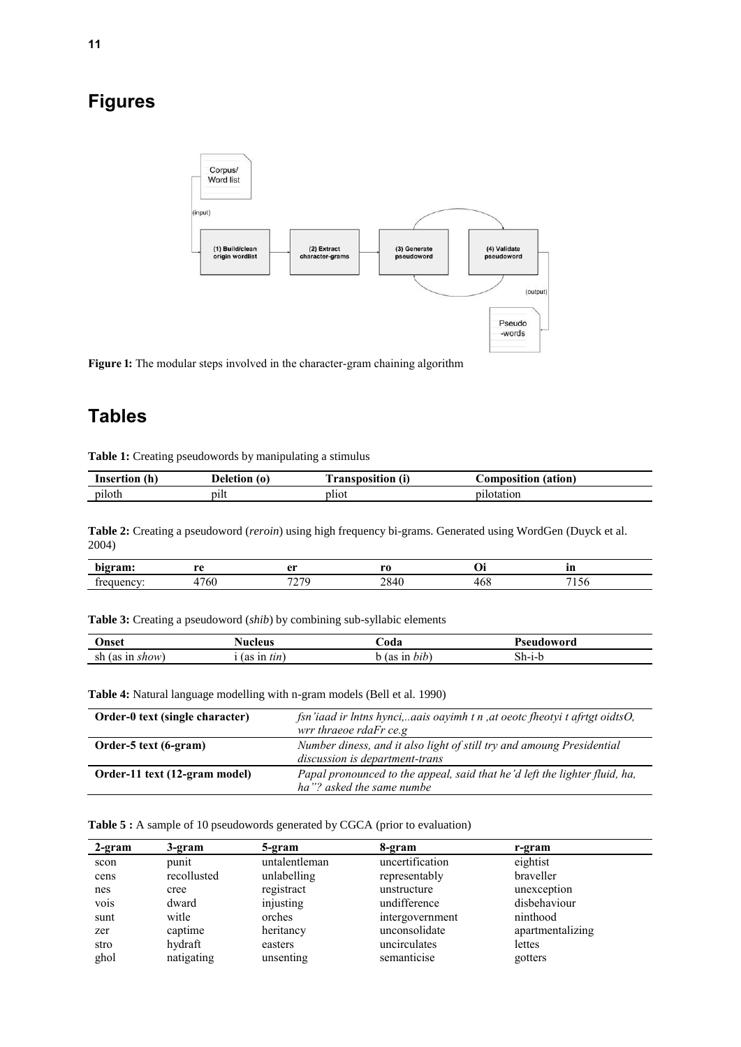# **Figures**



<span id="page-10-3"></span>Figure 1: The modular steps involved in the character-gram chaining algorithm

# **Tables**

**Table 1:** Creating pseudowords by manipulating a stimulus

| (n)<br>Insertion | Deletion<br>(O) | <b>Tansposition</b> 、 | Composition (ation) |
|------------------|-----------------|-----------------------|---------------------|
| piloth           | pilt            | pliot                 | pilotation          |

<span id="page-10-0"></span>**Table 2:** Creating a pseudoword (*reroin*) using high frequency bi-grams. Generated using WordGen (Duyck et al. 2004)

| bigram:<br>~~  | $P^*$                           | $\mathbf{a}$ r         | <b>MO</b><br>__    | vı  | --<br>Ш      |
|----------------|---------------------------------|------------------------|--------------------|-----|--------------|
| 1037<br>ΣЦ<br> | $\overline{\phantom{0}}$<br>'60 | $H^{\wedge}H^{\wedge}$ | ററ<br>$20 -$<br>πυ | ≖∪⊾ | - -<br>1 J U |

<span id="page-10-1"></span>**Table 3:** Creating a pseudoword (*shib*) by combining sub-syllabic elements

| Jnset   | vucleus<br>. | ⊅oda            | Pseudoword |
|---------|--------------|-----------------|------------|
| sh      | 112          | $\cdot$ $\cdot$ | $5h-1-r$   |
| . show' | tin          | $b$ <i>tb</i>   |            |
| ın      | (as          | 1n              |            |
| (as     | ш            | (as             |            |

<span id="page-10-2"></span>**Table 4:** Natural language modelling with n-gram models (Bell et al. 1990)

| Order-0 text (single character) | fsn'iaad ir lntns hynci,aais oayimh t n ,at oeotc fheotyi t afrtgt oidtsO,<br>wrr thraeoe rdaFr ce.g    |
|---------------------------------|---------------------------------------------------------------------------------------------------------|
| Order-5 text (6-gram)           | Number diness, and it also light of still try and amoung Presidential<br>discussion is department-trans |
| Order-11 text (12-gram model)   | Papal pronounced to the appeal, said that he'd left the lighter fluid, ha,<br>ha"? asked the same numbe |

<span id="page-10-4"></span>**Table 5 :** A sample of 10 pseudowords generated by CGCA (prior to evaluation)

| 2-gram | 3-gram      | 5-gram        | 8-gram          | r-gram           |
|--------|-------------|---------------|-----------------|------------------|
| scon   | punit       | untalentleman | uncertification | eightist         |
| cens   | recollusted | unlabelling   | representably   | braveller        |
| nes    | cree        | registract    | unstructure     | unexception      |
| vois   | dward       | injusting     | undifference    | disbehaviour     |
| sunt   | witle       | orches        | intergovernment | ninthood         |
| zer    | captime     | heritancy     | unconsolidate   | apartmentalizing |
| stro   | hydraft     | easters       | uncirculates    | lettes           |
| ghol   | natigating  | unsenting     | semanticise     | gotters          |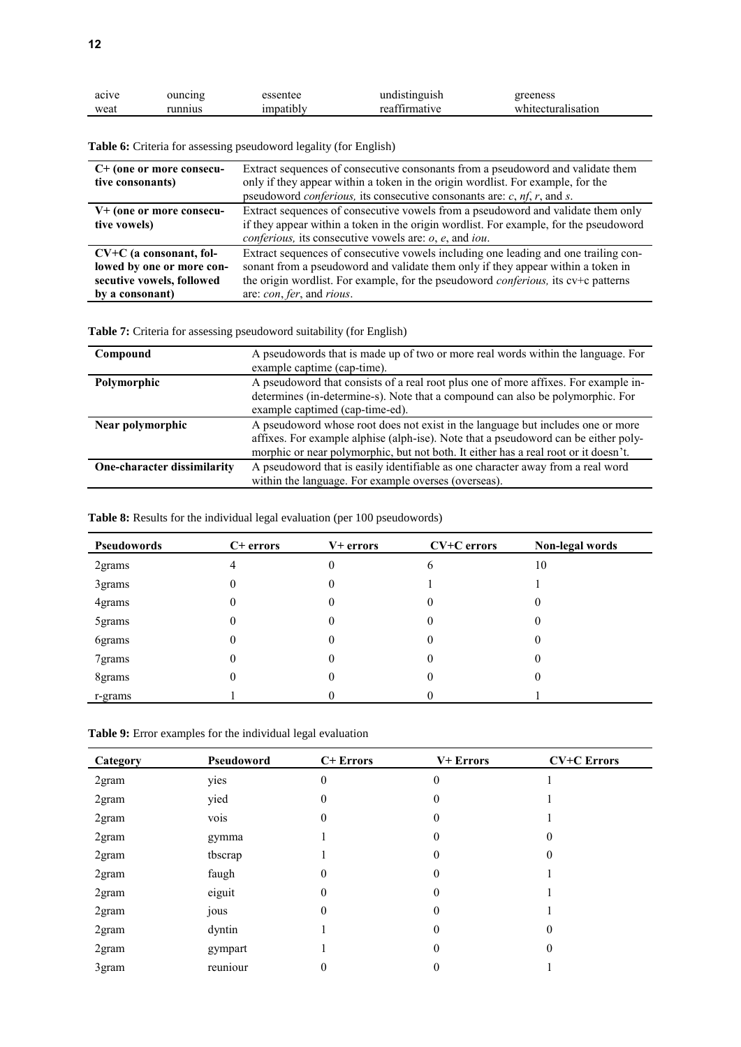| acive | ouncing |         | undistinguish               | reeness            |
|-------|---------|---------|-----------------------------|--------------------|
| weat  | unnius  | natıbly | ra <sub>0</sub><br>ırmatıye | whitecturalisation |

<span id="page-11-0"></span>**Table 6:** Criteria for assessing pseudoword legality (for English)

| $C+$ (one or more consecu-<br>tive consonants)                                                         | Extract sequences of consecutive consonants from a pseudoword and validate them<br>only if they appear within a token in the origin wordlist. For example, for the<br>pseudoword <i>conferious</i> , its consecutive consonants are: $c$ , $nf$ , $r$ , and $s$ .                                  |
|--------------------------------------------------------------------------------------------------------|----------------------------------------------------------------------------------------------------------------------------------------------------------------------------------------------------------------------------------------------------------------------------------------------------|
| V+ (one or more consecu-<br>tive vowels)                                                               | Extract sequences of consecutive vowels from a pseudoword and validate them only<br>if they appear within a token in the origin wordlist. For example, for the pseudoword<br><i>conferious</i> , its consecutive vowels are: $o$ , $e$ , and <i>iou</i> .                                          |
| $CV+C$ (a consonant, fol-<br>lowed by one or more con-<br>secutive vowels, followed<br>by a consonant) | Extract sequences of consecutive vowels including one leading and one trailing con-<br>sonant from a pseudoword and validate them only if they appear within a token in<br>the origin wordlist. For example, for the pseudoword <i>conferious</i> , its cv+c patterns<br>are: con, fer, and rious. |

<span id="page-11-1"></span>**Table 7:** Criteria for assessing pseudoword suitability (for English)

| Compound                    | A pseudowords that is made up of two or more real words within the language. For<br>example captime (cap-time).                                                                                                                                               |
|-----------------------------|---------------------------------------------------------------------------------------------------------------------------------------------------------------------------------------------------------------------------------------------------------------|
| Polymorphic                 | A pseudoword that consists of a real root plus one of more affixes. For example in-<br>determines (in-determine-s). Note that a compound can also be polymorphic. For<br>example captimed (cap-time-ed).                                                      |
| Near polymorphic            | A pseudoword whose root does not exist in the language but includes one or more<br>affixes. For example alphise (alph-ise). Note that a pseudoword can be either poly-<br>morphic or near polymorphic, but not both. It either has a real root or it doesn't. |
| One-character dissimilarity | A pseudoword that is easily identifiable as one character away from a real word<br>within the language. For example overses (overseas).                                                                                                                       |

<span id="page-11-2"></span>Table 8: Results for the individual legal evaluation (per 100 pseudowords)

| Pseudowords | $C+$ errors | V+ errors | CV+C errors | Non-legal words |
|-------------|-------------|-----------|-------------|-----------------|
| 2grams      |             | 0         | O           | 10              |
| 3grams      |             | 0         |             |                 |
| 4grams      |             | 0         | 0           | 0               |
| 5grams      |             | 0         | $\theta$    | 0               |
| 6grams      |             | 0         | $_{0}$      | 0               |
| 7grams      |             | 0         | $\theta$    | 0               |
| 8grams      |             | 0         | 0           |                 |
| r-grams     |             |           |             |                 |

| Category | Pseudoword | C+ Errors        | V+ Errors        | <b>CV+C</b> Errors |
|----------|------------|------------------|------------------|--------------------|
| 2gram    | yies       | $\boldsymbol{0}$ | $\theta$         |                    |
| 2gram    | yied       | 0                | $\theta$         |                    |
| 2gram    | vois       | $\boldsymbol{0}$ | $\boldsymbol{0}$ |                    |
| 2gram    | gymma      |                  | 0                | 0                  |
| 2gram    | tbscrap    |                  | 0                | 0                  |
| 2gram    | faugh      | 0                | 0                |                    |
| 2gram    | eiguit     | 0                | 0                |                    |
| 2gram    | jous       | 0                | 0                |                    |
| 2gram    | dyntin     |                  | 0                | 0                  |
| 2gram    | gympart    |                  | 0                | 0                  |
| 3gram    | reuniour   | 0                | 0                |                    |
|          |            |                  |                  |                    |

<span id="page-11-3"></span>**Table 9:** Error examples for the individual legal evaluation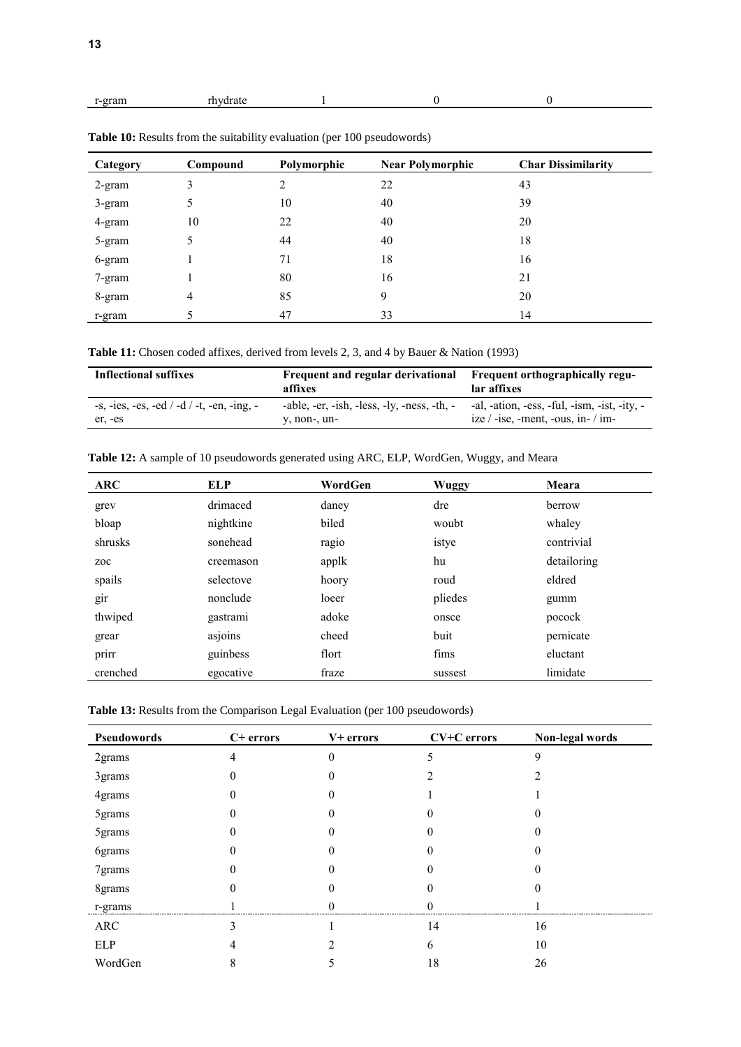<span id="page-12-0"></span>

|--|

| Category  | Compound | Polymorphic | <b>Near Polymorphic</b> | <b>Char Dissimilarity</b> |
|-----------|----------|-------------|-------------------------|---------------------------|
| $2$ -gram | 3        | 2           | 22                      | 43                        |
| $3$ -gram | 5        | 10          | 40                      | 39                        |
| 4-gram    | 10       | 22          | 40                      | 20                        |
| 5-gram    | 5        | 44          | 40                      | 18                        |
| 6-gram    |          | 71          | 18                      | 16                        |
| 7-gram    |          | 80          | 16                      | 21                        |
| 8-gram    | 4        | 85          | 9                       | 20                        |
| r-gram    |          | 47          | 33                      | 14                        |

**Table 10:** Results from the suitability evaluation (per 100 pseudowords)

<span id="page-12-1"></span>**Table 11:** Chosen coded affixes, derived from levels 2, 3, and 4 by Bauer & Nation (1993)

| <b>Inflectional suffixes</b>                   | Frequent and regular derivational<br>affixes | <b>Frequent orthographically regu-</b><br>lar affixes |
|------------------------------------------------|----------------------------------------------|-------------------------------------------------------|
| -s, -ies, -es, -ed $/$ -d $/$ -t, -en, -ing, - | -able, -er, -ish, -less, -ly, -ness, -th, -  | -al, -ation, -ess, -ful, -ism, -ist, -ity, -          |
| er, -es                                        | y, non-, un-                                 | ize $/$ -ise, -ment, -ous, in- $/$ im-                |

<span id="page-12-2"></span>

|  |  | Table 12: A sample of 10 pseudowords generated using ARC, ELP, WordGen, Wuggy, and Meara |  |  |  |  |
|--|--|------------------------------------------------------------------------------------------|--|--|--|--|
|  |  |                                                                                          |  |  |  |  |

| <b>ARC</b> | <b>ELP</b> | WordGen | <b>Wuggy</b> | Meara       |
|------------|------------|---------|--------------|-------------|
| grev       | drimaced   | daney   | dre          | berrow      |
| bloap      | nightkine  | biled   | woubt        | whaley      |
| shrusks    | sonehead   | ragio   | istye        | contrivial  |
| zoc        | creemason  | applk   | hu           | detailoring |
| spails     | selectove  | hoory   | roud         | eldred      |
| gir        | nonclude   | loeer   | pliedes      | gumm        |
| thwiped    | gastrami   | adoke   | onsce        | pocock      |
| grear      | asjoins    | cheed   | buit         | pernicate   |
| prirr      | guinbess   | flort   | fims         | eluctant    |
| crenched   | egocative  | fraze   | sussest      | limidate    |

<span id="page-12-3"></span>Table 13: Results from the Comparison Legal Evaluation (per 100 pseudowords)

| Pseudowords | C+ errors | V+ errors | CV+C errors | Non-legal words |
|-------------|-----------|-----------|-------------|-----------------|
| 2grams      |           | $\theta$  | ጎ           | 9               |
| 3grams      | 0         | 0         |             |                 |
| 4grams      |           |           |             |                 |
| 5grams      |           |           |             |                 |
| 5grams      |           |           |             |                 |
| 6grams      |           |           |             |                 |
| 7grams      | $_{0}$    | 0         |             |                 |
| 8grams      |           |           |             |                 |
| r-grams     |           |           |             |                 |
| ARC         | ∍         |           | 14          | 16              |
| ELP         |           |           | 6           | 10              |
| WordGen     |           |           | 18          | 26              |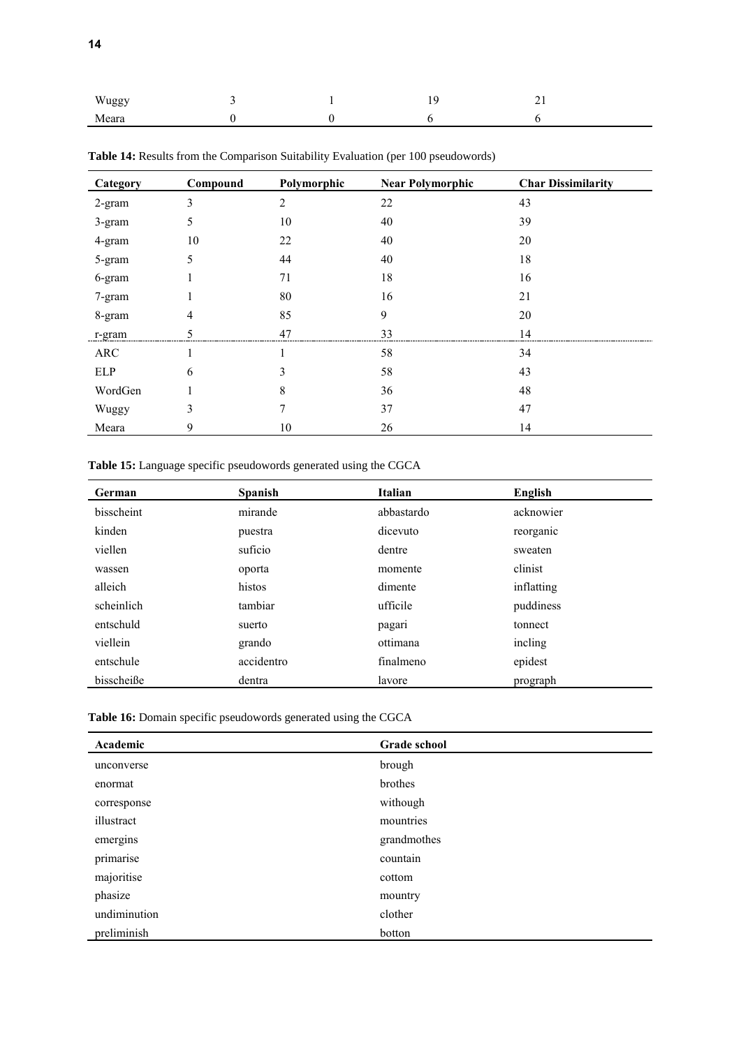| Wuggy |  | <b>C</b> | ∼<br>$\sim$ 1 |
|-------|--|----------|---------------|
| Meara |  |          |               |

| Category | Compound | Polymorphic | <b>Near Polymorphic</b> | <b>Char Dissimilarity</b> |
|----------|----------|-------------|-------------------------|---------------------------|
| 2-gram   | 3        | 2           | 22                      | 43                        |
| 3-gram   | 5        | 10          | 40                      | 39                        |
| 4-gram   | 10       | 22          | 40                      | 20                        |
| 5-gram   | 5        | 44          | 40                      | 18                        |
| 6-gram   |          | 71          | 18                      | 16                        |
| 7-gram   |          | 80          | 16                      | 21                        |
| 8-gram   | 4        | 85          | 9                       | 20                        |
| r-gram   |          | 47          | 33                      | 14                        |
| ARC      |          |             | 58                      | 34                        |
| ELP      | 6        | 3           | 58                      | 43                        |
| WordGen  |          | 8           | 36                      | 48                        |
| Wuggy    | 3        | 7           | 37                      | 47                        |
| Meara    | 9        | 10          | 26                      | 14                        |

<span id="page-13-0"></span>Table 14: Results from the Comparison Suitability Evaluation (per 100 pseudowords)

<span id="page-13-1"></span>**Table 15:** Language specific pseudowords generated using the CGCA

| German     | Spanish    | Italian    | English    |
|------------|------------|------------|------------|
| bisscheint | mirande    | abbastardo | acknowier  |
| kinden     | puestra    | dicevuto   | reorganic  |
| viellen    | suficio    | dentre     | sweaten    |
| wassen     | oporta     | momente    | clinist    |
| alleich    | histos     | dimente    | inflatting |
| scheinlich | tambiar    | ufficile   | puddiness  |
| entschuld  | suerto     | pagari     | tonnect    |
| viellein   | grando     | ottimana   | incling    |
| entschule  | accidentro | finalmeno  | epidest    |
| bisscheiße | dentra     | lavore     | prograph   |

<span id="page-13-2"></span>**Table 16:** Domain specific pseudowords generated using the CGCA

| Academic     | <b>Grade school</b> |
|--------------|---------------------|
| unconverse   | brough              |
| enormat      | brothes             |
| corresponse  | withough            |
| illustract   | mountries           |
| emergins     | grandmothes         |
| primarise    | countain            |
| majoritise   | cottom              |
| phasize      | mountry             |
| undiminution | clother             |
| preliminish  | botton              |